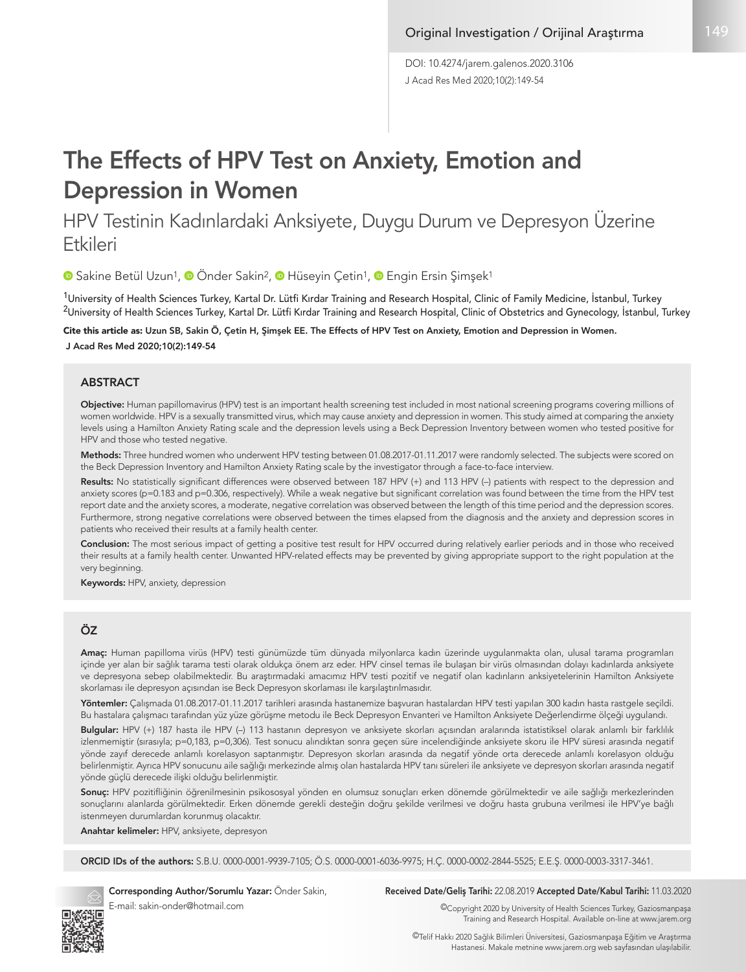J Acad Res Med 2020;10(2):149-54 DOI: 10.4274/jarem.galenos.2020.3106

# The Effects of HPV Test on Anxiety, Emotion and Depression in Women

# HPV Testinin Kadınlardaki Anksiyete, Duygu Durum ve Depresyon Üzerine Etkileri

<sup>■</sup>Sakine Betül Uzun<sup>1</sup>, <sup>■</sup> Önder Sakin<sup>2</sup>, ■ Hüseyin Çetin<sup>1</sup>, ■ Engin Ersin Şimşek<sup>1</sup>

<sup>1</sup>University of Health Sciences Turkey, Kartal Dr. Lütfi Kırdar Training and Research Hospital, Clinic of Family Medicine, İstanbul, Turkey <sup>2</sup>University of Health Sciences Turkey, Kartal Dr. Lütfi Kırdar Training and Research Hospital, Clinic of Obstetrics and Gynecology, İstanbul, Turkey

Cite this article as: Uzun SB, Sakin Ö, Çetin H, Şimşek EE. The Effects of HPV Test on Anxiety, Emotion and Depression in Women. J Acad Res Med 2020;10(2):149-54

#### ABSTRACT

Objective: Human papillomavirus (HPV) test is an important health screening test included in most national screening programs covering millions of women worldwide. HPV is a sexually transmitted virus, which may cause anxiety and depression in women. This study aimed at comparing the anxiety levels using a Hamilton Anxiety Rating scale and the depression levels using a Beck Depression Inventory between women who tested positive for HPV and those who tested negative.

Methods: Three hundred women who underwent HPV testing between 01.08.2017-01.11.2017 were randomly selected. The subjects were scored on the Beck Depression Inventory and Hamilton Anxiety Rating scale by the investigator through a face-to-face interview.

Results: No statistically significant differences were observed between 187 HPV (+) and 113 HPV (-) patients with respect to the depression and anxiety scores (p=0.183 and p=0.306, respectively). While a weak negative but significant correlation was found between the time from the HPV test report date and the anxiety scores, a moderate, negative correlation was observed between the length of this time period and the depression scores. Furthermore, strong negative correlations were observed between the times elapsed from the diagnosis and the anxiety and depression scores in patients who received their results at a family health center.

Conclusion: The most serious impact of getting a positive test result for HPV occurred during relatively earlier periods and in those who received their results at a family health center. Unwanted HPV-related effects may be prevented by giving appropriate support to the right population at the very beginning.

Keywords: HPV, anxiety, depression

#### ÖZ

Amaç: Human papilloma virüs (HPV) testi günümüzde tüm dünyada milyonlarca kadın üzerinde uygulanmakta olan, ulusal tarama programları içinde yer alan bir sağlık tarama testi olarak oldukça önem arz eder. HPV cinsel temas ile bulaşan bir virüs olmasından dolayı kadınlarda anksiyete ve depresyona sebep olabilmektedir. Bu araştırmadaki amacımız HPV testi pozitif ve negatif olan kadınların anksiyetelerinin Hamilton Anksiyete skorlaması ile depresyon açısından ise Beck Depresyon skorlaması ile karşılaştırılmasıdır.

Yöntemler: Çalışmada 01.08.2017-01.11.2017 tarihleri arasında hastanemize başvuran hastalardan HPV testi yapılan 300 kadın hasta rastgele seçildi. Bu hastalara çalışmacı tarafından yüz yüze görüşme metodu ile Beck Depresyon Envanteri ve Hamilton Anksiyete Değerlendirme ölçeği uygulandı.

Bulgular: HPV (+) 187 hasta ile HPV (-) 113 hastanın depresyon ve anksiyete skorları açısından aralarında istatistiksel olarak anlamlı bir farklılık izlenmemiştir (sırasıyla; p=0,183, p=0,306). Test sonucu alındıktan sonra geçen süre incelendiğinde anksiyete skoru ile HPV süresi arasında negatif yönde zayıf derecede anlamlı korelasyon saptanmıştır. Depresyon skorları arasında da negatif yönde orta derecede anlamlı korelasyon olduğu belirlenmiştir. Ayrıca HPV sonucunu aile sağlığı merkezinde almış olan hastalarda HPV tanı süreleri ile anksiyete ve depresyon skorları arasında negatif yönde güçlü derecede ilişki olduğu belirlenmiştir.

Sonuç: HPV pozitifliğinin öğrenilmesinin psikososyal yönden en olumsuz sonuçları erken dönemde görülmektedir ve aile sağlığı merkezlerinden sonuçlarını alanlarda görülmektedir. Erken dönemde gerekli desteğin doğru şekilde verilmesi ve doğru hasta grubuna verilmesi ile HPV'ye bağlı istenmeyen durumlardan korunmuş olacaktır.

Anahtar kelimeler: HPV, anksiyete, depresyon

ORCID IDs of the authors: S.B.U. 0000-0001-9939-7105; Ö.S. 0000-0001-6036-9975; H.Ç. 0000-0002-2844-5525; E.E.Ş. 0000-0003-3317-3461.



Corresponding Author/Sorumlu Yazar: Önder Sakin, E-mail: sakin-onder@hotmail.com

#### Received Date/Geliş Tarihi: 22.08.2019 Accepted Date/Kabul Tarihi: 11.03.2020

©Copyright 2020 by University of Health Sciences Turkey, Gaziosmanpaşa Training and Research Hospital. Available on-line at www.jarem.org

©Telif Hakkı 2020 Sağlık Bilimleri Üniversitesi, Gaziosmanpaşa Eğitim ve Araştırma Hastanesi. Makale metnine www.jarem.org web sayfasından ulaşılabilir.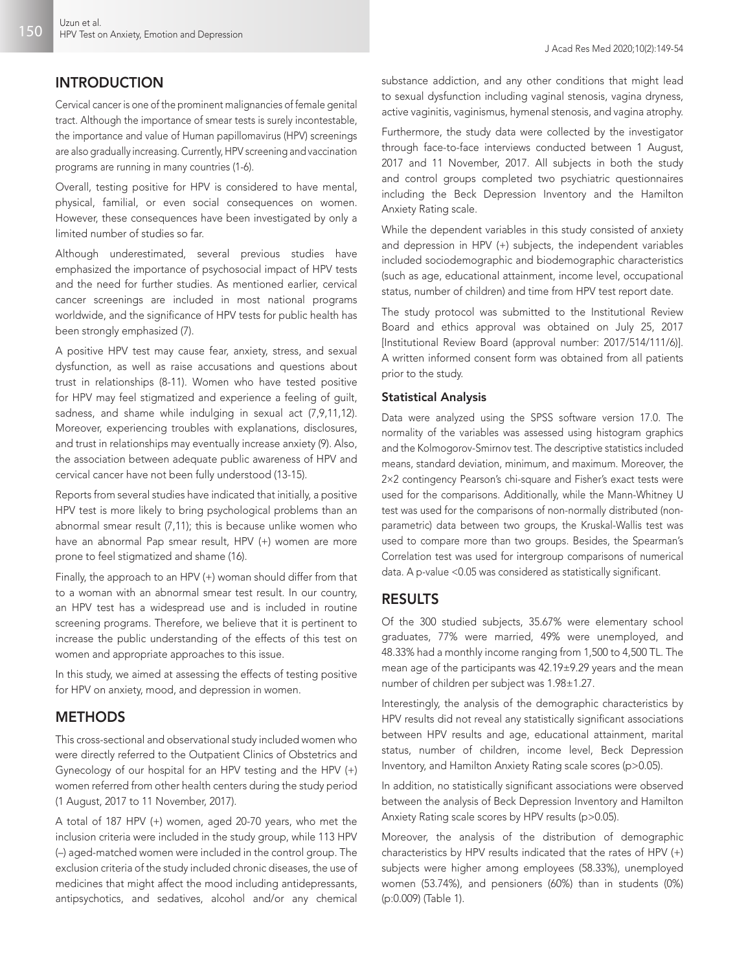Cervical cancer is one of the prominent malignancies of female genital tract. Although the importance of smear tests is surely incontestable, the importance and value of Human papillomavirus (HPV) screenings are also gradually increasing. Currently, HPV screening and vaccination programs are running in many countries (1-6).

Overall, testing positive for HPV is considered to have mental, physical, familial, or even social consequences on women. However, these consequences have been investigated by only a limited number of studies so far.

Although underestimated, several previous studies have emphasized the importance of psychosocial impact of HPV tests and the need for further studies. As mentioned earlier, cervical cancer screenings are included in most national programs worldwide, and the significance of HPV tests for public health has been strongly emphasized (7).

A positive HPV test may cause fear, anxiety, stress, and sexual dysfunction, as well as raise accusations and questions about trust in relationships (8-11). Women who have tested positive for HPV may feel stigmatized and experience a feeling of guilt, sadness, and shame while indulging in sexual act (7,9,11,12). Moreover, experiencing troubles with explanations, disclosures, and trust in relationships may eventually increase anxiety (9). Also, the association between adequate public awareness of HPV and cervical cancer have not been fully understood (13-15).

Reports from several studies have indicated that initially, a positive HPV test is more likely to bring psychological problems than an abnormal smear result (7,11); this is because unlike women who have an abnormal Pap smear result, HPV (+) women are more prone to feel stigmatized and shame (16).

Finally, the approach to an HPV (+) woman should differ from that to a woman with an abnormal smear test result. In our country, an HPV test has a widespread use and is included in routine screening programs. Therefore, we believe that it is pertinent to increase the public understanding of the effects of this test on women and appropriate approaches to this issue.

In this study, we aimed at assessing the effects of testing positive for HPV on anxiety, mood, and depression in women.

# **METHODS**

This cross-sectional and observational study included women who were directly referred to the Outpatient Clinics of Obstetrics and Gynecology of our hospital for an HPV testing and the HPV (+) women referred from other health centers during the study period (1 August, 2017 to 11 November, 2017).

A total of 187 HPV (+) women, aged 20-70 years, who met the inclusion criteria were included in the study group, while 113 HPV (–) aged-matched women were included in the control group. The exclusion criteria of the study included chronic diseases, the use of medicines that might affect the mood including antidepressants, antipsychotics, and sedatives, alcohol and/or any chemical

J Acad Res Med 2020;10(2):149-54

substance addiction, and any other conditions that might lead to sexual dysfunction including vaginal stenosis, vagina dryness, active vaginitis, vaginismus, hymenal stenosis, and vagina atrophy.

Furthermore, the study data were collected by the investigator through face-to-face interviews conducted between 1 August, 2017 and 11 November, 2017. All subjects in both the study and control groups completed two psychiatric questionnaires including the Beck Depression Inventory and the Hamilton Anxiety Rating scale.

While the dependent variables in this study consisted of anxiety and depression in HPV (+) subjects, the independent variables included sociodemographic and biodemographic characteristics (such as age, educational attainment, income level, occupational status, number of children) and time from HPV test report date.

The study protocol was submitted to the Institutional Review Board and ethics approval was obtained on July 25, 2017 [Institutional Review Board (approval number: 2017/514/111/6)]. A written informed consent form was obtained from all patients prior to the study.

#### Statistical Analysis

Data were analyzed using the SPSS software version 17.0. The normality of the variables was assessed using histogram graphics and the Kolmogorov-Smirnov test. The descriptive statistics included means, standard deviation, minimum, and maximum. Moreover, the 2×2 contingency Pearson's chi-square and Fisher's exact tests were used for the comparisons. Additionally, while the Mann-Whitney U test was used for the comparisons of non-normally distributed (nonparametric) data between two groups, the Kruskal-Wallis test was used to compare more than two groups. Besides, the Spearman's Correlation test was used for intergroup comparisons of numerical data. A p-value <0.05 was considered as statistically significant.

## RESULTS

Of the 300 studied subjects, 35.67% were elementary school graduates, 77% were married, 49% were unemployed, and 48.33% had a monthly income ranging from 1,500 to 4,500 TL. The mean age of the participants was 42.19±9.29 years and the mean number of children per subject was 1.98±1.27.

Interestingly, the analysis of the demographic characteristics by HPV results did not reveal any statistically significant associations between HPV results and age, educational attainment, marital status, number of children, income level, Beck Depression Inventory, and Hamilton Anxiety Rating scale scores (p>0.05).

In addition, no statistically significant associations were observed between the analysis of Beck Depression Inventory and Hamilton Anxiety Rating scale scores by HPV results (p>0.05).

Moreover, the analysis of the distribution of demographic characteristics by HPV results indicated that the rates of HPV (+) subjects were higher among employees (58.33%), unemployed women (53.74%), and pensioners (60%) than in students (0%) (p:0.009) (Table 1).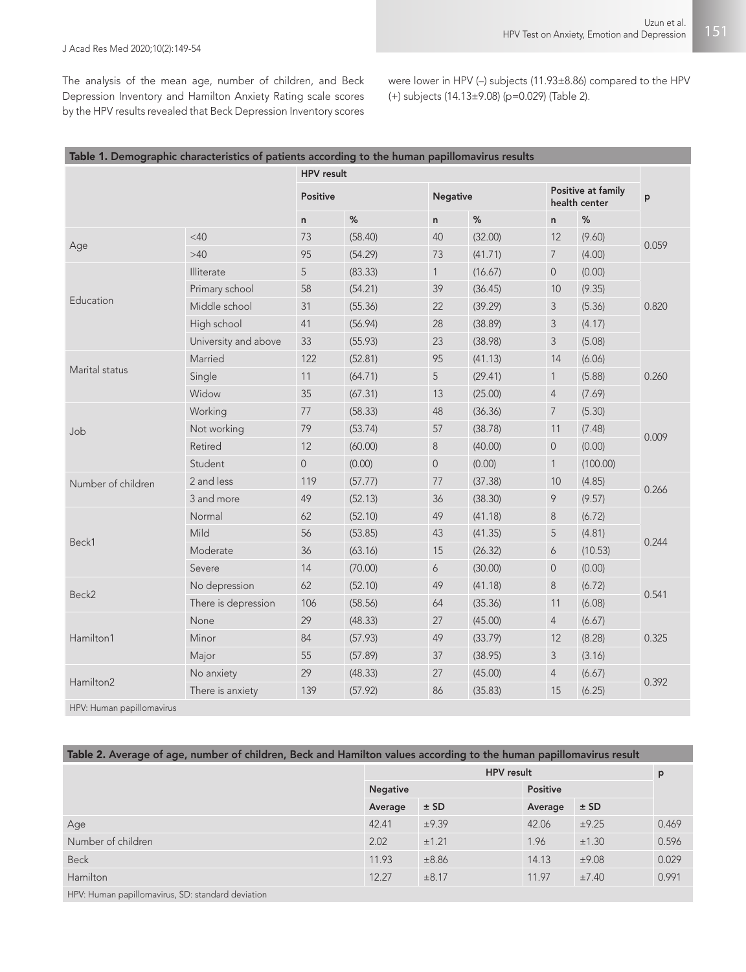The analysis of the mean age, number of children, and Beck Depression Inventory and Hamilton Anxiety Rating scale scores by the HPV results revealed that Beck Depression Inventory scores were lower in HPV (–) subjects (11.93±8.86) compared to the HPV (+) subjects (14.13±9.08) (p=0.029) (Table 2).

| Table 1. Demographic characteristics of patients according to the human papillomavirus results |                      |                   |         |                 |         |                                     |          |       |  |  |  |  |
|------------------------------------------------------------------------------------------------|----------------------|-------------------|---------|-----------------|---------|-------------------------------------|----------|-------|--|--|--|--|
|                                                                                                |                      | <b>HPV</b> result |         |                 |         |                                     |          |       |  |  |  |  |
|                                                                                                |                      | <b>Positive</b>   |         | <b>Negative</b> |         | Positive at family<br>health center |          | p     |  |  |  |  |
|                                                                                                |                      | $\mathsf{n}$      | %       | n.              | %       | $\mathsf{n}$                        | %        |       |  |  |  |  |
| Age                                                                                            | <40                  | 73                | (58.40) | 40              | (32.00) | 12                                  | (9.60)   | 0.059 |  |  |  |  |
|                                                                                                | $>40$                | 95                | (54.29) | 73              | (41.71) | $\overline{7}$                      | (4.00)   |       |  |  |  |  |
| Education                                                                                      | Illiterate           | 5                 | (83.33) | $\mathbf{1}$    | (16.67) | $\mathbf 0$                         | (0.00)   | 0.820 |  |  |  |  |
|                                                                                                | Primary school       | 58                | (54.21) | 39              | (36.45) | 10                                  | (9.35)   |       |  |  |  |  |
|                                                                                                | Middle school        | 31                | (55.36) | 22              | (39.29) | 3                                   | (5.36)   |       |  |  |  |  |
|                                                                                                | High school          | 41                | (56.94) | 28              | (38.89) | $\mathfrak{Z}$                      | (4.17)   |       |  |  |  |  |
|                                                                                                | University and above | 33                | (55.93) | 23              | (38.98) | 3                                   | (5.08)   |       |  |  |  |  |
| Marital status                                                                                 | Married              | 122               | (52.81) | 95              | (41.13) | 14                                  | (6.06)   | 0.260 |  |  |  |  |
|                                                                                                | Single               | 11                | (64.71) | 5               | (29.41) | $\mathbf{1}$                        | (5.88)   |       |  |  |  |  |
|                                                                                                | Widow                | 35                | (67.31) | 13              | (25.00) | $\overline{4}$                      | (7.69)   |       |  |  |  |  |
| Job                                                                                            | Working              | 77                | (58.33) | 48              | (36.36) | $\overline{7}$                      | (5.30)   | 0.009 |  |  |  |  |
|                                                                                                | Not working          | 79                | (53.74) | 57              | (38.78) | 11                                  | (7.48)   |       |  |  |  |  |
|                                                                                                | Retired              | 12                | (60.00) | 8               | (40.00) | $\theta$                            | (0.00)   |       |  |  |  |  |
|                                                                                                | Student              | $\overline{0}$    | (0.00)  | $\mathbf 0$     | (0.00)  | 1                                   | (100.00) |       |  |  |  |  |
| Number of children                                                                             | 2 and less           | 119               | (57.77) | 77              | (37.38) | 10                                  | (4.85)   | 0.266 |  |  |  |  |
|                                                                                                | 3 and more           | 49                | (52.13) | 36              | (38.30) | 9                                   | (9.57)   |       |  |  |  |  |
| Beck1                                                                                          | Normal               | 62                | (52.10) | 49              | (41.18) | 8                                   | (6.72)   | 0.244 |  |  |  |  |
|                                                                                                | Mild                 | 56                | (53.85) | 43              | (41.35) | 5                                   | (4.81)   |       |  |  |  |  |
|                                                                                                | Moderate             | 36                | (63.16) | 15              | (26.32) | 6                                   | (10.53)  |       |  |  |  |  |
|                                                                                                | Severe               | 14                | (70.00) | 6               | (30.00) | $\overline{0}$                      | (0.00)   |       |  |  |  |  |
| Beck2                                                                                          | No depression        | 62                | (52.10) | 49              | (41.18) | 8                                   | (6.72)   | 0.541 |  |  |  |  |
|                                                                                                | There is depression  | 106               | (58.56) | 64              | (35.36) | 11                                  | (6.08)   |       |  |  |  |  |
| Hamilton1                                                                                      | None                 | 29                | (48.33) | 27              | (45.00) | $\sqrt{4}$                          | (6.67)   | 0.325 |  |  |  |  |
|                                                                                                | Minor                | 84                | (57.93) | 49              | (33.79) | 12                                  | (8.28)   |       |  |  |  |  |
|                                                                                                | Major                | 55                | (57.89) | 37              | (38.95) | 3                                   | (3.16)   |       |  |  |  |  |
| Hamilton2                                                                                      | No anxiety           | 29                | (48.33) | 27              | (45.00) | $\overline{4}$                      | (6.67)   | 0.392 |  |  |  |  |
|                                                                                                | There is anxiety     | 139               | (57.92) | 86              | (35.83) | 15                                  | (6.25)   |       |  |  |  |  |

HPV: Human papillomavirus

| Table 2. Average of age, number of children, Beck and Hamilton values according to the human papillomavirus result |                   |            |                 |            |       |  |  |  |  |
|--------------------------------------------------------------------------------------------------------------------|-------------------|------------|-----------------|------------|-------|--|--|--|--|
|                                                                                                                    | <b>HPV</b> result |            |                 |            |       |  |  |  |  |
|                                                                                                                    | <b>Negative</b>   |            | <b>Positive</b> |            |       |  |  |  |  |
|                                                                                                                    | Average           | ± SD       | Average         | ± SD       |       |  |  |  |  |
| Age                                                                                                                | 42.41             | ±9.39      | 42.06           | ±9.25      | 0.469 |  |  |  |  |
| Number of children                                                                                                 | 2.02              | ±1.21      | 1.96            | ±1.30      | 0.596 |  |  |  |  |
| <b>Beck</b>                                                                                                        | 11.93             | $\pm 8.86$ | 14.13           | ±9.08      | 0.029 |  |  |  |  |
| <b>Hamilton</b>                                                                                                    | 12.27             | $\pm 8.17$ | 11.97           | $\pm 7.40$ | 0.991 |  |  |  |  |
| HPV: Human papillomavirus, SD: standard deviation                                                                  |                   |            |                 |            |       |  |  |  |  |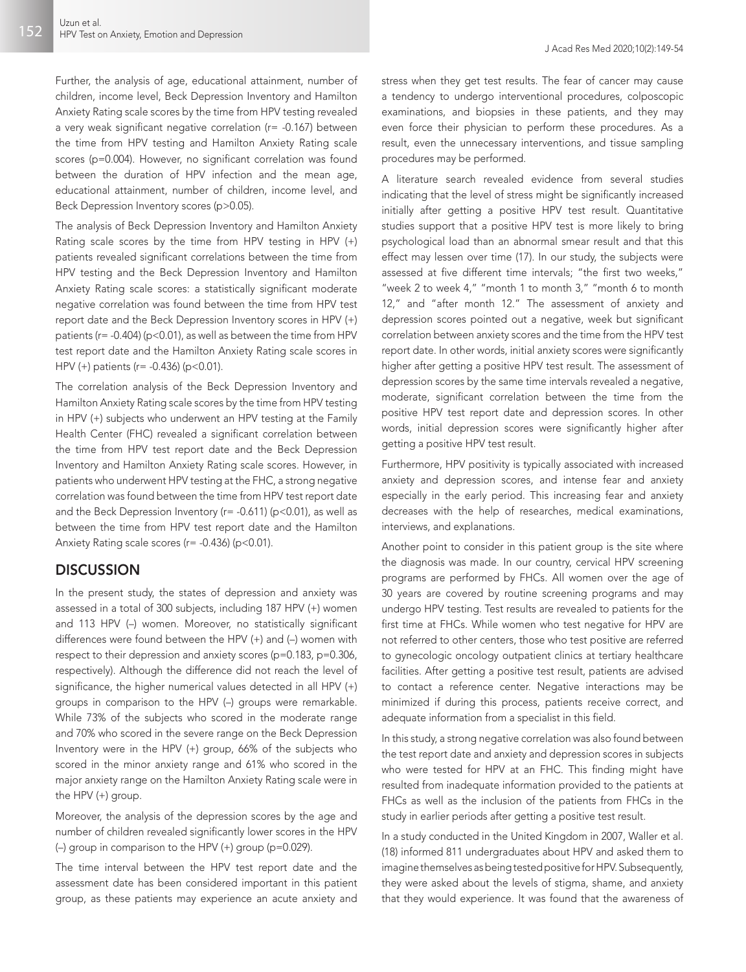Further, the analysis of age, educational attainment, number of children, income level, Beck Depression Inventory and Hamilton Anxiety Rating scale scores by the time from HPV testing revealed a very weak significant negative correlation (r= -0.167) between the time from HPV testing and Hamilton Anxiety Rating scale scores (p=0.004). However, no significant correlation was found between the duration of HPV infection and the mean age, educational attainment, number of children, income level, and Beck Depression Inventory scores (p>0.05).

The analysis of Beck Depression Inventory and Hamilton Anxiety Rating scale scores by the time from HPV testing in HPV (+) patients revealed significant correlations between the time from HPV testing and the Beck Depression Inventory and Hamilton Anxiety Rating scale scores: a statistically significant moderate negative correlation was found between the time from HPV test report date and the Beck Depression Inventory scores in HPV (+) patients ( $r = -0.404$ ) ( $p < 0.01$ ), as well as between the time from HPV test report date and the Hamilton Anxiety Rating scale scores in HPV (+) patients ( $r = -0.436$ ) ( $p < 0.01$ ).

The correlation analysis of the Beck Depression Inventory and Hamilton Anxiety Rating scale scores by the time from HPV testing in HPV (+) subjects who underwent an HPV testing at the Family Health Center (FHC) revealed a significant correlation between the time from HPV test report date and the Beck Depression Inventory and Hamilton Anxiety Rating scale scores. However, in patients who underwent HPV testing at the FHC, a strong negative correlation was found between the time from HPV test report date and the Beck Depression Inventory ( $r = -0.611$ ) ( $p < 0.01$ ), as well as between the time from HPV test report date and the Hamilton Anxiety Rating scale scores (r= -0.436) (p<0.01).

#### **DISCUSSION**

In the present study, the states of depression and anxiety was assessed in a total of 300 subjects, including 187 HPV (+) women and 113 HPV (–) women. Moreover, no statistically significant differences were found between the HPV (+) and (–) women with respect to their depression and anxiety scores (p=0.183, p=0.306, respectively). Although the difference did not reach the level of significance, the higher numerical values detected in all HPV (+) groups in comparison to the HPV (–) groups were remarkable. While 73% of the subjects who scored in the moderate range and 70% who scored in the severe range on the Beck Depression Inventory were in the HPV (+) group, 66% of the subjects who scored in the minor anxiety range and 61% who scored in the major anxiety range on the Hamilton Anxiety Rating scale were in the HPV (+) group.

Moreover, the analysis of the depression scores by the age and number of children revealed significantly lower scores in the HPV (–) group in comparison to the HPV (+) group (p=0.029).

The time interval between the HPV test report date and the assessment date has been considered important in this patient group, as these patients may experience an acute anxiety and

stress when they get test results. The fear of cancer may cause a tendency to undergo interventional procedures, colposcopic examinations, and biopsies in these patients, and they may even force their physician to perform these procedures. As a result, even the unnecessary interventions, and tissue sampling procedures may be performed.

A literature search revealed evidence from several studies indicating that the level of stress might be significantly increased initially after getting a positive HPV test result. Quantitative studies support that a positive HPV test is more likely to bring psychological load than an abnormal smear result and that this effect may lessen over time (17). In our study, the subjects were assessed at five different time intervals; "the first two weeks," "week 2 to week 4," "month 1 to month 3," "month 6 to month 12," and "after month 12." The assessment of anxiety and depression scores pointed out a negative, week but significant correlation between anxiety scores and the time from the HPV test report date. In other words, initial anxiety scores were significantly higher after getting a positive HPV test result. The assessment of depression scores by the same time intervals revealed a negative, moderate, significant correlation between the time from the positive HPV test report date and depression scores. In other words, initial depression scores were significantly higher after getting a positive HPV test result.

Furthermore, HPV positivity is typically associated with increased anxiety and depression scores, and intense fear and anxiety especially in the early period. This increasing fear and anxiety decreases with the help of researches, medical examinations, interviews, and explanations.

Another point to consider in this patient group is the site where the diagnosis was made. In our country, cervical HPV screening programs are performed by FHCs. All women over the age of 30 years are covered by routine screening programs and may undergo HPV testing. Test results are revealed to patients for the first time at FHCs. While women who test negative for HPV are not referred to other centers, those who test positive are referred to gynecologic oncology outpatient clinics at tertiary healthcare facilities. After getting a positive test result, patients are advised to contact a reference center. Negative interactions may be minimized if during this process, patients receive correct, and adequate information from a specialist in this field.

In this study, a strong negative correlation was also found between the test report date and anxiety and depression scores in subjects who were tested for HPV at an FHC. This finding might have resulted from inadequate information provided to the patients at FHCs as well as the inclusion of the patients from FHCs in the study in earlier periods after getting a positive test result.

In a study conducted in the United Kingdom in 2007, Waller et al. (18) informed 811 undergraduates about HPV and asked them to imagine themselves as being tested positive for HPV. Subsequently, they were asked about the levels of stigma, shame, and anxiety that they would experience. It was found that the awareness of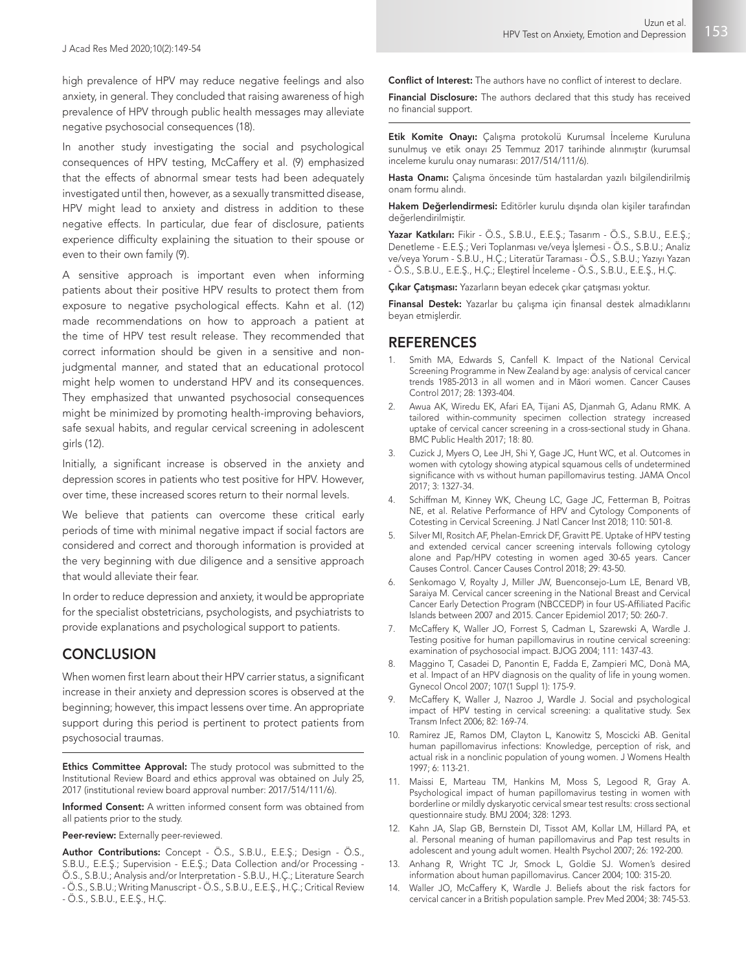high prevalence of HPV may reduce negative feelings and also anxiety, in general. They concluded that raising awareness of high prevalence of HPV through public health messages may alleviate negative psychosocial consequences (18).

In another study investigating the social and psychological consequences of HPV testing, McCaffery et al. (9) emphasized that the effects of abnormal smear tests had been adequately investigated until then, however, as a sexually transmitted disease, HPV might lead to anxiety and distress in addition to these negative effects. In particular, due fear of disclosure, patients experience difficulty explaining the situation to their spouse or even to their own family (9).

A sensitive approach is important even when informing patients about their positive HPV results to protect them from exposure to negative psychological effects. Kahn et al. (12) made recommendations on how to approach a patient at the time of HPV test result release. They recommended that correct information should be given in a sensitive and nonjudgmental manner, and stated that an educational protocol might help women to understand HPV and its consequences. They emphasized that unwanted psychosocial consequences might be minimized by promoting health-improving behaviors, safe sexual habits, and regular cervical screening in adolescent girls (12).

Initially, a significant increase is observed in the anxiety and depression scores in patients who test positive for HPV. However, over time, these increased scores return to their normal levels.

We believe that patients can overcome these critical early periods of time with minimal negative impact if social factors are considered and correct and thorough information is provided at the very beginning with due diligence and a sensitive approach that would alleviate their fear.

In order to reduce depression and anxiety, it would be appropriate for the specialist obstetricians, psychologists, and psychiatrists to provide explanations and psychological support to patients.

## **CONCLUSION**

When women first learn about their HPV carrier status, a significant increase in their anxiety and depression scores is observed at the beginning; however, this impact lessens over time. An appropriate support during this period is pertinent to protect patients from psychosocial traumas.

Ethics Committee Approval: The study protocol was submitted to the Institutional Review Board and ethics approval was obtained on July 25, 2017 (institutional review board approval number: 2017/514/111/6).

Informed Consent: A written informed consent form was obtained from all patients prior to the study.

Peer-review: Externally peer-reviewed.

Author Contributions: Concept - Ö.S., S.B.U., E.E.S.; Design - Ö.S., S.B.U., E.E.Ş.; Supervision - E.E.Ş.; Data Collection and/or Processing - Ö.S., S.B.U.; Analysis and/or Interpretation - S.B.U., H.Ç.; Literature Search - Ö.S., S.B.U.; Writing Manuscript - Ö.S., S.B.U., E.E.Ş., H.Ç.; Critical Review - Ö.S., S.B.U., E.E.Ş., H.Ç.

Conflict of Interest: The authors have no conflict of interest to declare.

Financial Disclosure: The authors declared that this study has received no financial support.

Etik Komite Onayı: Çalışma protokolü Kurumsal İnceleme Kuruluna sunulmuş ve etik onayı 25 Temmuz 2017 tarihinde alınmıştır (kurumsal inceleme kurulu onay numarası: 2017/514/111/6).

Hasta Onamı: Çalışma öncesinde tüm hastalardan yazılı bilgilendirilmiş onam formu alındı.

Hakem Değerlendirmesi: Editörler kurulu dışında olan kişiler tarafından değerlendirilmiştir.

Yazar Katkıları: Fikir - Ö.S., S.B.U., E.E.Ş.; Tasarım - Ö.S., S.B.U., E.E.Ş.; Denetleme - E.E.Ş.; Veri Toplanması ve/veya İşlemesi - Ö.S., S.B.U.; Analiz ve/veya Yorum - S.B.U., H.Ç.; Literatür Taraması - Ö.S., S.B.U.; Yazıyı Yazan - Ö.S., S.B.U., E.E.Ş., H.Ç.; Eleştirel İnceleme - Ö.S., S.B.U., E.E.Ş., H.Ç.

Çıkar Çatışması: Yazarların beyan edecek çıkar çatışması yoktur.

Finansal Destek: Yazarlar bu çalışma için finansal destek almadıklarını beyan etmişlerdir.

#### REFERENCES

- Smith MA, Edwards S, Canfell K. Impact of the National Cervical Screening Programme in New Zealand by age: analysis of cervical cancer trends 1985-2013 in all women and in Māori women. Cancer Causes Control 2017; 28: 1393-404.
- 2. Awua AK, Wiredu EK, Afari EA, Tijani AS, Djanmah G, Adanu RMK. A tailored within-community specimen collection strategy increased uptake of cervical cancer screening in a cross-sectional study in Ghana. BMC Public Health 2017; 18: 80.
- 3. Cuzick J, Myers O, Lee JH, Shi Y, Gage JC, Hunt WC, et al. Outcomes in women with cytology showing atypical squamous cells of undetermined significance with vs without human papillomavirus testing. JAMA Oncol 2017; 3: 1327-34.
- 4. Schiffman M, Kinney WK, Cheung LC, Gage JC, Fetterman B, Poitras NE, et al. Relative Performance of HPV and Cytology Components of Cotesting in Cervical Screening. J Natl Cancer Inst 2018; 110: 501-8.
- 5. Silver MI, Rositch AF, Phelan-Emrick DF, Gravitt PE. Uptake of HPV testing and extended cervical cancer screening intervals following cytology alone and Pap/HPV cotesting in women aged 30-65 years. Cancer Causes Control. Cancer Causes Control 2018; 29: 43-50.
- Senkomago V, Royalty J, Miller JW, Buenconsejo-Lum LE, Benard VB, Saraiya M. Cervical cancer screening in the National Breast and Cervical Cancer Early Detection Program (NBCCEDP) in four US-Affiliated Pacific Islands between 2007 and 2015. Cancer Epidemiol 2017; 50: 260-7.
- 7. McCaffery K, Waller JO, Forrest S, Cadman L, Szarewski A, Wardle J. Testing positive for human papillomavirus in routine cervical screening: examination of psychosocial impact. BJOG 2004; 111: 1437-43.
- 8. Maggino T, Casadei D, Panontin E, Fadda E, Zampieri MC, Donà MA, et al. Impact of an HPV diagnosis on the quality of life in young women. Gynecol Oncol 2007; 107(1 Suppl 1): 175-9.
- 9. McCaffery K, Waller J, Nazroo J, Wardle J. Social and psychological impact of HPV testing in cervical screening: a qualitative study. Sex Transm Infect 2006; 82: 169-74.
- 10. Ramirez JE, Ramos DM, Clayton L, Kanowitz S, Moscicki AB. Genital human papillomavirus infections: Knowledge, perception of risk, and actual risk in a nonclinic population of young women. J Womens Health 1997; 6: 113-21.
- 11. Maissi E, Marteau TM, Hankins M, Moss S, Legood R, Gray A. Psychological impact of human papillomavirus testing in women with borderline or mildly dyskaryotic cervical smear test results: cross sectional questionnaire study. BMJ 2004; 328: 1293.
- 12. Kahn JA, Slap GB, Bernstein DI, Tissot AM, Kollar LM, Hillard PA, et al. Personal meaning of human papillomavirus and Pap test results in adolescent and young adult women. Health Psychol 2007; 26: 192-200.
- 13. Anhang R, Wright TC Jr, Smock L, Goldie SJ. Women's desired information about human papillomavirus. Cancer 2004; 100: 315-20.
- 14. Waller JO, McCaffery K, Wardle J. Beliefs about the risk factors for cervical cancer in a British population sample. Prev Med 2004; 38: 745-53.